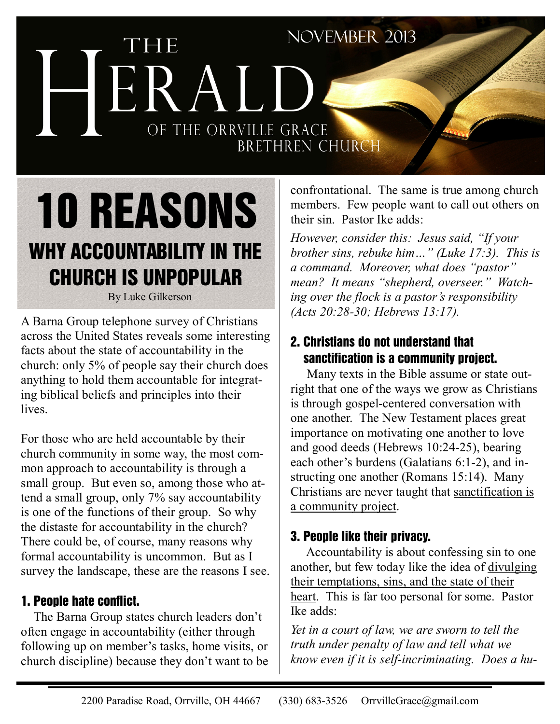# NOVEMBER 2013 THE HERALD OF THE ORRVILLE GRACE BRETHREN CHURCH confrontational. The same is true among church

# 10 REASONS WHY ACCOUNTABILITY IN THE CHURCH IS UNPOPULAR

By Luke Gilkerson

A Barna Group telephone survey of Christians across the United States reveals some interesting facts about the state of accountability in the church: only 5% of people say their church does anything to hold them accountable for integrating biblical beliefs and principles into their lives.

For those who are held accountable by their church community in some way, the most common approach to accountability is through a small group. But even so, among those who attend a small group, only 7% say accountability is one of the functions of their group. So why the distaste for accountability in the church? There could be, of course, many reasons why formal accountability is uncommon. But as I survey the landscape, these are the reasons I see.

#### 1. People hate conflict.

 The Barna Group states church leaders don't often engage in accountability (either through following up on member's tasks, home visits, or church discipline) because they don't want to be members. Few people want to call out others on their sin. Pastor Ike adds:

*However, consider this: Jesus said, "If your brother sins, rebuke him…" (Luke 17:3). This is a command. Moreover, what does "pastor" mean? It means "shepherd, overseer." Watching over the flock is a pastor's responsibility (Acts 20:28-30; Hebrews 13:17).* 

#### 2. Christians do not understand that sanctification is a community project.

 Many texts in the Bible assume or state outright that one of the ways we grow as Christians is through gospel-centered conversation with one another. The New Testament places great importance on motivating one another to love and good deeds (Hebrews 10:24-25), bearing each other's burdens (Galatians 6:1-2), and instructing one another (Romans 15:14). Many Christians are never taught that sanctification is a community project.

#### 3. People like their privacy.

 Accountability is about confessing sin to one another, but few today like the idea of divulging their temptations, sins, and the state of their heart. This is far too personal for some. Pastor Ike adds:

*Yet in a court of law, we are sworn to tell the truth under penalty of law and tell what we know even if it is self-incriminating. Does a hu-*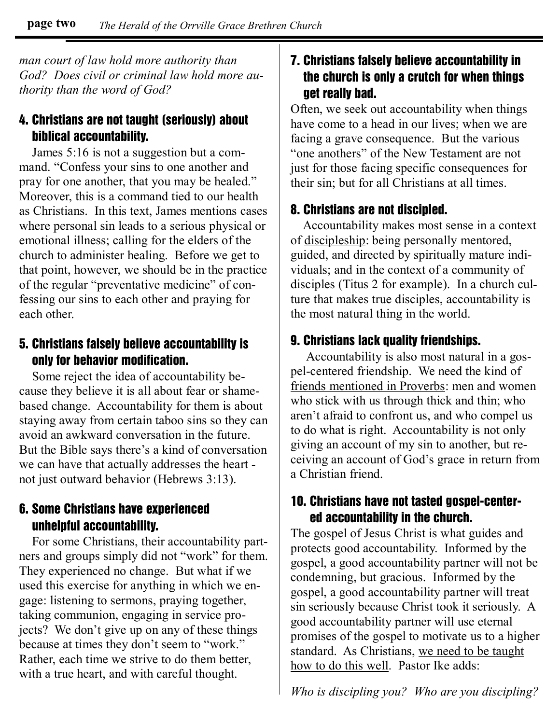*man court of law hold more authority than God? Does civil or criminal law hold more authority than the word of God?* 

#### 4. Christians are not taught (seriously) about biblical accountability.

 James 5:16 is not a suggestion but a command. "Confess your sins to one another and pray for one another, that you may be healed." Moreover, this is a command tied to our health as Christians. In this text, James mentions cases where personal sin leads to a serious physical or emotional illness; calling for the elders of the church to administer healing. Before we get to that point, however, we should be in the practice of the regular "preventative medicine" of confessing our sins to each other and praying for each other.

#### 5. Christians falsely believe accountability is only for behavior modification.

 Some reject the idea of accountability because they believe it is all about fear or shamebased change. Accountability for them is about staying away from certain taboo sins so they can avoid an awkward conversation in the future. But the Bible says there's a kind of conversation we can have that actually addresses the heart not just outward behavior (Hebrews 3:13).

#### 6. Some Christians have experienced unhelpful accountability.

 For some Christians, their accountability partners and groups simply did not "work" for them. They experienced no change. But what if we used this exercise for anything in which we engage: listening to sermons, praying together, taking communion, engaging in service projects? We don't give up on any of these things because at times they don't seem to "work." Rather, each time we strive to do them better, with a true heart, and with careful thought.

#### 7. Christians falsely believe accountability in the church is only a crutch for when things get really bad.

Often, we seek out accountability when things have come to a head in our lives; when we are facing a grave consequence. But the various "one anothers" of the New Testament are not just for those facing specific consequences for their sin; but for all Christians at all times.

#### 8. Christians are not discipled.

 Accountability makes most sense in a context of discipleship: being personally mentored, guided, and directed by spiritually mature individuals; and in the context of a community of disciples (Titus 2 for example). In a church culture that makes true disciples, accountability is the most natural thing in the world.

#### 9. Christians lack quality friendships.

 Accountability is also most natural in a gospel-centered friendship. We need the kind of friends mentioned in Proverbs: men and women who stick with us through thick and thin; who aren't afraid to confront us, and who compel us to do what is right. Accountability is not only giving an account of my sin to another, but receiving an account of God's grace in return from a Christian friend.

#### 10. Christians have not tasted gospel-center ed accountability in the church.

The gospel of Jesus Christ is what guides and protects good accountability. Informed by the gospel, a good accountability partner will not be condemning, but gracious. Informed by the gospel, a good accountability partner will treat sin seriously because Christ took it seriously. A good accountability partner will use eternal promises of the gospel to motivate us to a higher standard. As Christians, we need to be taught how to do this well. Pastor Ike adds:

*Who is discipling you? Who are you discipling?*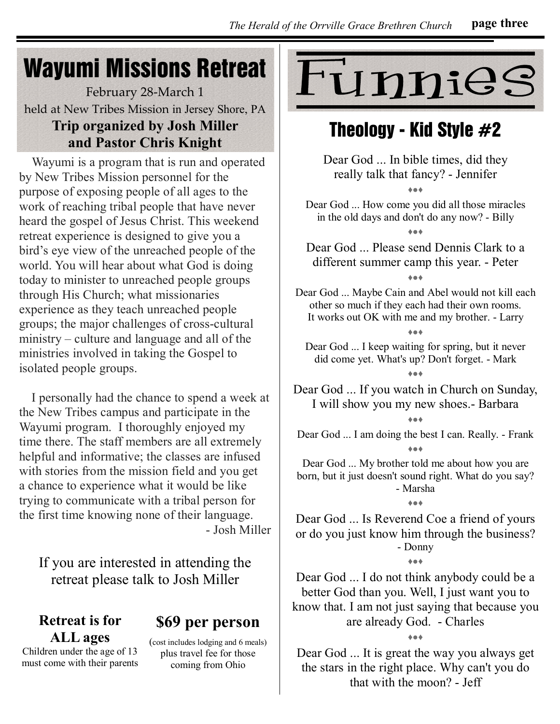## Wayumi Missions Retreat

February 28-March 1 held at New Tribes Mission in Jersey Shore, PA **Trip organized by Josh Miller and Pastor Chris Knight**

 Wayumi is a program that is run and operated by New Tribes Mission personnel for the purpose of exposing people of all ages to the work of reaching tribal people that have never heard the gospel of Jesus Christ. This weekend retreat experience is designed to give you a bird's eye view of the unreached people of the world. You will hear about what God is doing today to minister to unreached people groups through His Church; what missionaries experience as they teach unreached people groups; the major challenges of cross-cultural ministry – culture and language and all of the ministries involved in taking the Gospel to isolated people groups.

 I personally had the chance to spend a week at the New Tribes campus and participate in the Wayumi program. I thoroughly enjoyed my time there. The staff members are all extremely helpful and informative; the classes are infused with stories from the mission field and you get a chance to experience what it would be like trying to communicate with a tribal person for the first time knowing none of their language. - Josh Miller

If you are interested in attending the retreat please talk to Josh Miller

#### **Retreat is for ALL ages**  Children under the age of 13

must come with their parents

#### **\$69 per person**

(cost includes lodging and 6 meals) plus travel fee for those coming from Ohio



### Theology - Kid Style  $#2$

Dear God ... In bible times, did they really talk that fancy? - Jennifer

♦●♦

Dear God ... How come you did all those miracles in the old days and don't do any now? - Billy ♦●♦

Dear God ... Please send Dennis Clark to a different summer camp this year. - Peter

♦●♦

Dear God ... Maybe Cain and Abel would not kill each other so much if they each had their own rooms. It works out OK with me and my brother. - Larry

♦●♦

Dear God ... I keep waiting for spring, but it never did come yet. What's up? Don't forget. - Mark ♦●♦

Dear God ... If you watch in Church on Sunday, I will show you my new shoes.- Barbara

♦●♦ Dear God ... I am doing the best I can. Really. - Frank ♦●♦

Dear God ... My brother told me about how you are born, but it just doesn't sound right. What do you say? - Marsha

♦●♦

Dear God ... Is Reverend Coe a friend of yours or do you just know him through the business? - Donny

♦●♦

Dear God ... I do not think anybody could be a better God than you. Well, I just want you to know that. I am not just saying that because you are already God. - Charles

♦●♦

Dear God ... It is great the way you always get the stars in the right place. Why can't you do that with the moon? - Jeff